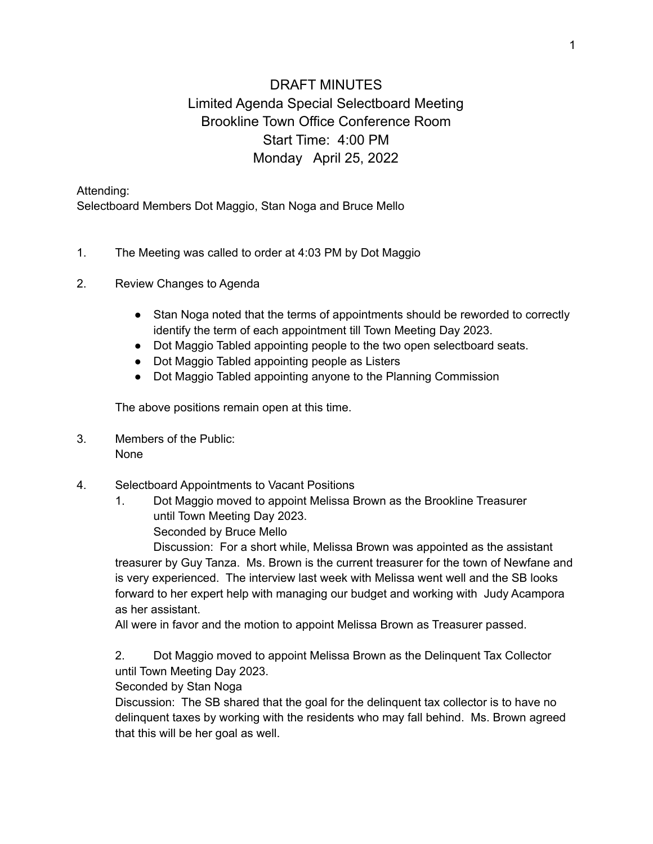## DRAFT MINUTES Limited Agenda Special Selectboard Meeting Brookline Town Office Conference Room Start Time: 4:00 PM Monday April 25, 2022

Attending:

Selectboard Members Dot Maggio, Stan Noga and Bruce Mello

- 1. The Meeting was called to order at 4:03 PM by Dot Maggio
- 2. Review Changes to Agenda
	- Stan Noga noted that the terms of appointments should be reworded to correctly identify the term of each appointment till Town Meeting Day 2023.
	- Dot Maggio Tabled appointing people to the two open selectboard seats.
	- Dot Maggio Tabled appointing people as Listers
	- Dot Maggio Tabled appointing anyone to the Planning Commission

The above positions remain open at this time.

- 3. Members of the Public: None
- 4. Selectboard Appointments to Vacant Positions
	- 1. Dot Maggio moved to appoint Melissa Brown as the Brookline Treasurer until Town Meeting Day 2023. Seconded by Bruce Mello

Discussion: For a short while, Melissa Brown was appointed as the assistant treasurer by Guy Tanza. Ms. Brown is the current treasurer for the town of Newfane and is very experienced. The interview last week with Melissa went well and the SB looks forward to her expert help with managing our budget and working with Judy Acampora as her assistant.

All were in favor and the motion to appoint Melissa Brown as Treasurer passed.

2. Dot Maggio moved to appoint Melissa Brown as the Delinquent Tax Collector until Town Meeting Day 2023.

Seconded by Stan Noga

Discussion: The SB shared that the goal for the delinquent tax collector is to have no delinquent taxes by working with the residents who may fall behind. Ms. Brown agreed that this will be her goal as well.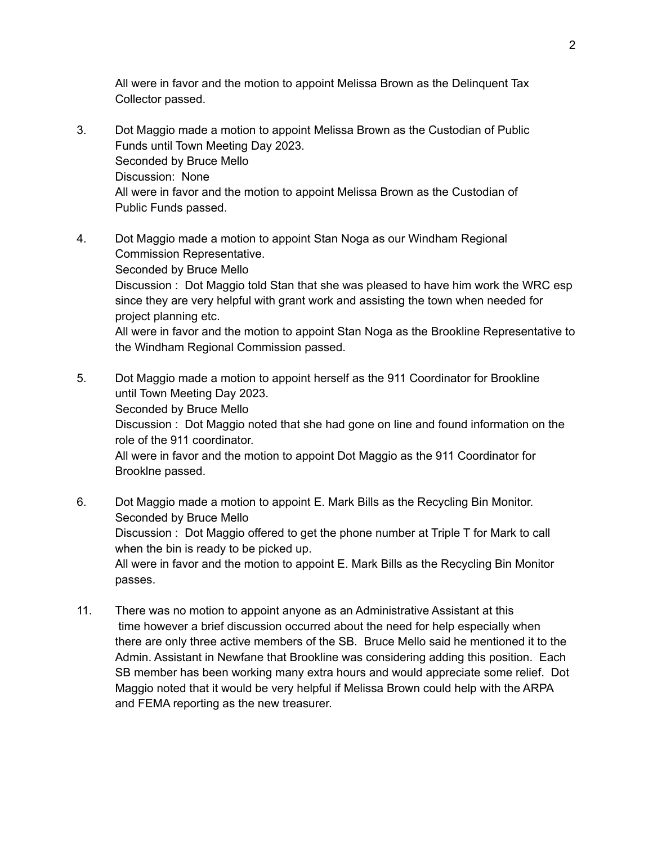All were in favor and the motion to appoint Melissa Brown as the Delinquent Tax Collector passed.

- 3. Dot Maggio made a motion to appoint Melissa Brown as the Custodian of Public Funds until Town Meeting Day 2023. Seconded by Bruce Mello Discussion: None All were in favor and the motion to appoint Melissa Brown as the Custodian of Public Funds passed.
- 4. Dot Maggio made a motion to appoint Stan Noga as our Windham Regional Commission Representative. Seconded by Bruce Mello Discussion : Dot Maggio told Stan that she was pleased to have him work the WRC esp since they are very helpful with grant work and assisting the town when needed for project planning etc. All were in favor and the motion to appoint Stan Noga as the Brookline Representative to the Windham Regional Commission passed.
- 5. Dot Maggio made a motion to appoint herself as the 911 Coordinator for Brookline until Town Meeting Day 2023. Seconded by Bruce Mello Discussion : Dot Maggio noted that she had gone on line and found information on the role of the 911 coordinator. All were in favor and the motion to appoint Dot Maggio as the 911 Coordinator for Brooklne passed.
- 6. Dot Maggio made a motion to appoint E. Mark Bills as the Recycling Bin Monitor. Seconded by Bruce Mello Discussion : Dot Maggio offered to get the phone number at Triple T for Mark to call when the bin is ready to be picked up. All were in favor and the motion to appoint E. Mark Bills as the Recycling Bin Monitor passes.
- 11. There was no motion to appoint anyone as an Administrative Assistant at this time however a brief discussion occurred about the need for help especially when there are only three active members of the SB. Bruce Mello said he mentioned it to the Admin. Assistant in Newfane that Brookline was considering adding this position. Each SB member has been working many extra hours and would appreciate some relief. Dot Maggio noted that it would be very helpful if Melissa Brown could help with the ARPA and FEMA reporting as the new treasurer.